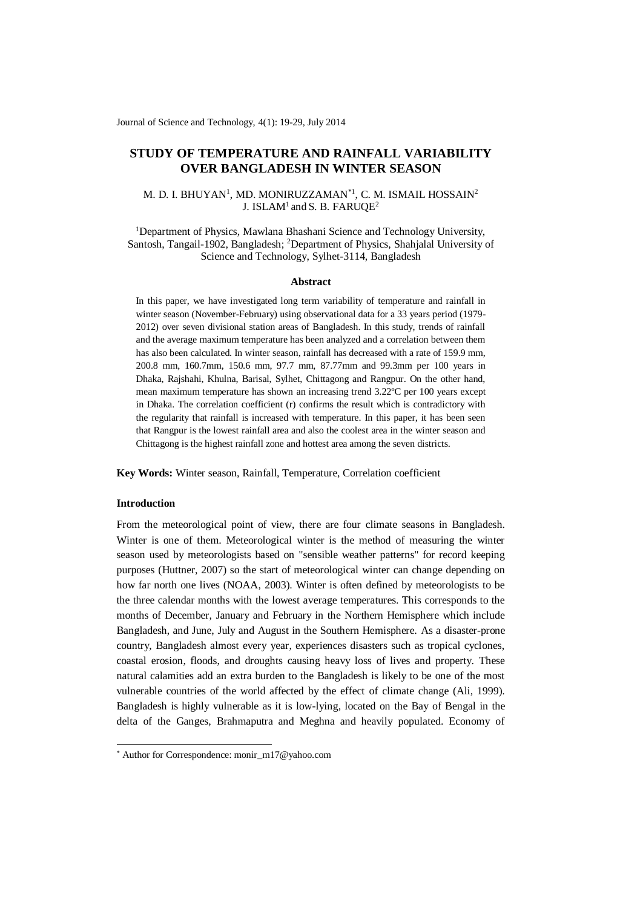Journal of Science and Technology, 4(1): 19-29, July 2014

# **STUDY OF TEMPERATURE AND RAINFALL VARIABILITY OVER BANGLADESH IN WINTER SEASON**

### M. D. I. BHUYAN<sup>1</sup>, MD. MONIRUZZAMAN\*<sup>1</sup>, C. M. ISMAIL HOSSAIN<sup>2</sup> J. ISLAM<sup>1</sup> and S. B. FARUQE<sup>2</sup>

<sup>1</sup>Department of Physics, Mawlana Bhashani Science and Technology University, Santosh, Tangail-1902, Bangladesh; <sup>2</sup>Department of Physics, Shahjalal University of Science and Technology, Sylhet-3114, Bangladesh

### **Abstract**

In this paper, we have investigated long term variability of temperature and rainfall in winter season (November-February) using observational data for a 33 years period (1979- 2012) over seven divisional station areas of Bangladesh. In this study, trends of rainfall and the average maximum temperature has been analyzed and a correlation between them has also been calculated. In winter season, rainfall has decreased with a rate of 159.9 mm, 200.8 mm, 160.7mm, 150.6 mm, 97.7 mm, 87.77mm and 99.3mm per 100 years in Dhaka, Rajshahi, Khulna, Barisal, Sylhet, Chittagong and Rangpur. On the other hand, mean maximum temperature has shown an increasing trend 3.22ºC per 100 years except in Dhaka. The correlation coefficient (r) confirms the result which is contradictory with the regularity that rainfall is increased with temperature. In this paper, it has been seen that Rangpur is the lowest rainfall area and also the coolest area in the winter season and Chittagong is the highest rainfall zone and hottest area among the seven districts.

**Key Words:** Winter season, Rainfall, Temperature, Correlation coefficient

### **Introduction**

-

From the meteorological point of view, there are four climate seasons in Bangladesh. Winter is one of them. Meteorological winter is the method of measuring the winter season used by meteorologists based on "sensible weather patterns" for record keeping purposes (Huttner, 2007) so the start of meteorological winter can change depending on how far north one lives (NOAA, 2003). Winter is often defined by meteorologists to be the three calendar months with the lowest average temperatures. This corresponds to the months of December, January and February in the Northern Hemisphere which include Bangladesh, and June, July and August in the Southern Hemisphere. As a disaster-prone country, Bangladesh almost every year, experiences disasters such as tropical cyclones, coastal erosion, floods, and droughts causing heavy loss of lives and property. These natural calamities add an extra burden to the Bangladesh is likely to be one of the most vulnerable countries of the world affected by the effect of climate change (Ali, 1999). Bangladesh is highly vulnerable as it is low-lying, located on the Bay of Bengal in the delta of the Ganges, Brahmaputra and Meghna and heavily populated. Economy of

<sup>\*</sup> Author for Correspondence: monir\_m17@yahoo.com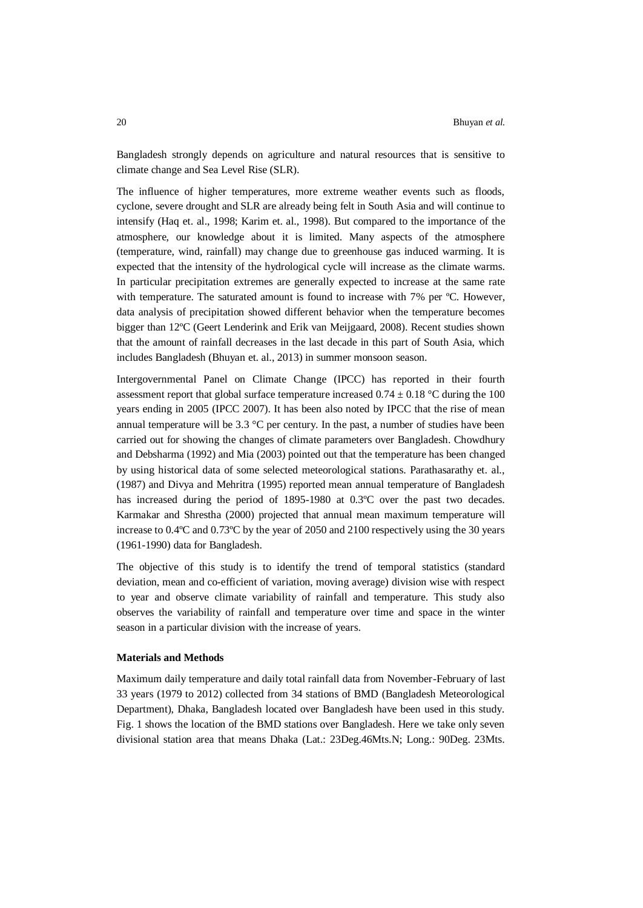Bangladesh strongly depends on agriculture and natural resources that is sensitive to climate change and Sea Level Rise (SLR).

The influence of higher temperatures, more extreme weather events such as floods, cyclone, severe drought and SLR are already being felt in South Asia and will continue to intensify (Haq et. al., 1998; Karim et. al., 1998). But compared to the importance of the atmosphere, our knowledge about it is limited. Many aspects of the atmosphere (temperature, wind, rainfall) may change due to greenhouse gas induced warming. It is expected that the intensity of the hydrological cycle will increase as the climate warms. In particular precipitation extremes are generally expected to increase at the same rate with temperature. The saturated amount is found to increase with 7% per °C. However, data analysis of precipitation showed different behavior when the temperature becomes bigger than 12ºC (Geert Lenderink and Erik van Meijgaard, 2008). Recent studies shown that the amount of rainfall decreases in the last decade in this part of South Asia, which includes Bangladesh (Bhuyan et. al., 2013) in summer monsoon season.

Intergovernmental Panel on Climate Change (IPCC) has reported in their fourth assessment report that global surface temperature increased  $0.74 \pm 0.18$  °C during the 100 years ending in 2005 (IPCC 2007). It has been also noted by IPCC that the rise of mean annual temperature will be 3.3 °C per century. In the past, a number of studies have been carried out for showing the changes of climate parameters over Bangladesh. Chowdhury and Debsharma (1992) and Mia (2003) pointed out that the temperature has been changed by using historical data of some selected meteorological stations. Parathasarathy et. al., (1987) and Divya and Mehritra (1995) reported mean annual temperature of Bangladesh has increased during the period of 1895-1980 at 0.3ºC over the past two decades. Karmakar and Shrestha (2000) projected that annual mean maximum temperature will increase to 0.4ºC and 0.73ºC by the year of 2050 and 2100 respectively using the 30 years (1961-1990) data for Bangladesh.

The objective of this study is to identify the trend of temporal statistics (standard deviation, mean and co-efficient of variation, moving average) division wise with respect to year and observe climate variability of rainfall and temperature. This study also observes the variability of rainfall and temperature over time and space in the winter season in a particular division with the increase of years.

### **Materials and Methods**

Maximum daily temperature and daily total rainfall data from November-February of last 33 years (1979 to 2012) collected from 34 stations of BMD (Bangladesh Meteorological Department), Dhaka, Bangladesh located over Bangladesh have been used in this study. Fig. 1 shows the location of the BMD stations over Bangladesh. Here we take only seven divisional station area that means Dhaka (Lat.: 23Deg.46Mts.N; Long.: 90Deg. 23Mts.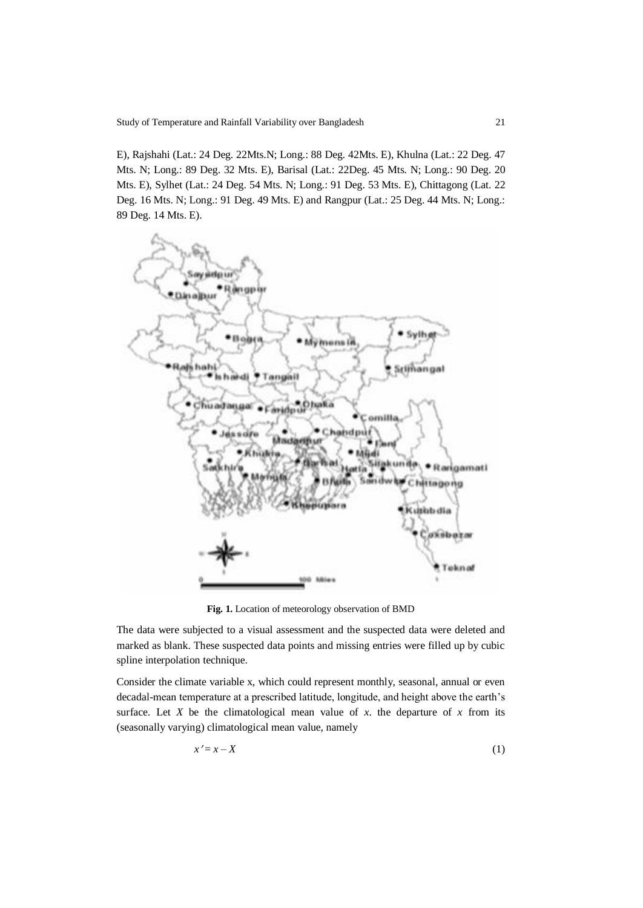Study of Temperature and Rainfall Variability over Bangladesh 21

E), Rajshahi (Lat.: 24 Deg. 22Mts.N; Long.: 88 Deg. 42Mts. E), Khulna (Lat.: 22 Deg. 47 Mts. N; Long.: 89 Deg. 32 Mts. E), Barisal (Lat.: 22Deg. 45 Mts. N; Long.: 90 Deg. 20 Mts. E), Sylhet (Lat.: 24 Deg. 54 Mts. N; Long.: 91 Deg. 53 Mts. E), Chittagong (Lat. 22 Deg. 16 Mts. N; Long.: 91 Deg. 49 Mts. E) and Rangpur (Lat.: 25 Deg. 44 Mts. N; Long.: 89 Deg. 14 Mts. E).



**Fig. 1.** Location of meteorology observation of BMD

The data were subjected to a visual assessment and the suspected data were deleted and marked as blank. These suspected data points and missing entries were filled up by cubic spline interpolation technique.

Consider the climate variable x, which could represent monthly, seasonal, annual or even decadal-mean temperature at a prescribed latitude, longitude, and height above the earth's surface. Let  $X$  be the climatological mean value of  $x$ , the departure of  $x$  from its (seasonally varying) climatological mean value, namely

$$
x'=x-X
$$
 (1)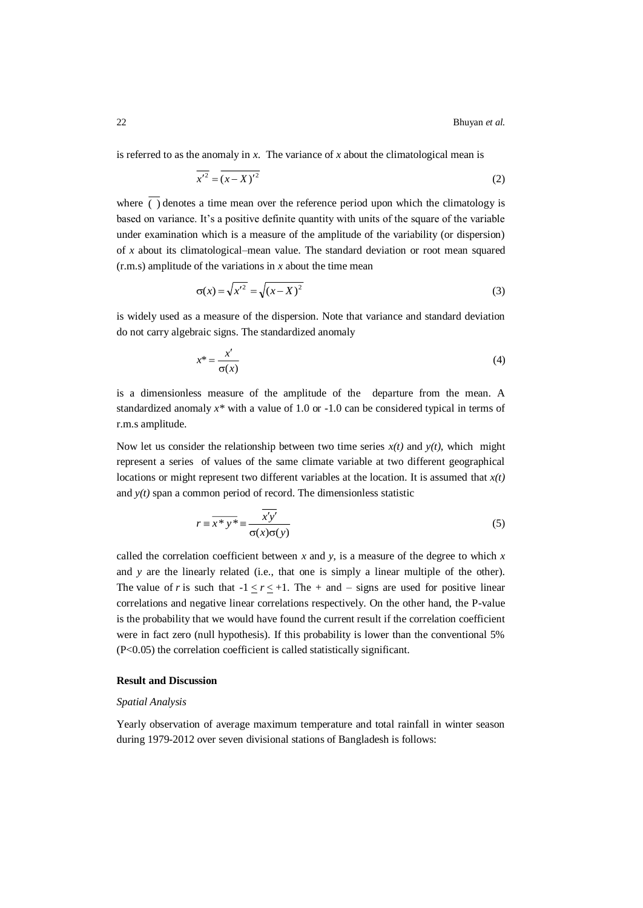is referred to as the anomaly in *x*. The variance of *x* about the climatological mean is

$$
\overline{x'^2} = \overline{(x - X)^2} \tag{2}
$$

where () denotes a time mean over the reference period upon which the climatology is based on variance. It's a positive definite quantity with units of the square of the variable under examination which is a measure of the amplitude of the variability (or dispersion) of *x* about its climatological–mean value. The standard deviation or root mean squared (r.m.s) amplitude of the variations in *x* about the time mean

$$
\sigma(x) = \sqrt{x'^2} = \sqrt{(x - X)^2} \tag{3}
$$

is widely used as a measure of the dispersion. Note that variance and standard deviation do not carry algebraic signs. The standardized anomaly

$$
x^* = \frac{x'}{\sigma(x)}\tag{4}
$$

is a dimensionless measure of the amplitude of the departure from the mean. A standardized anomaly *x\** with a value of 1.0 or -1.0 can be considered typical in terms of r.m.s amplitude.

Now let us consider the relationship between two time series  $x(t)$  and  $y(t)$ , which might represent a series of values of the same climate variable at two different geographical locations or might represent two different variables at the location. It is assumed that *x(t)* and  $y(t)$  span a common period of record. The dimensionless statistic

$$
r = \overline{x^* y^*} = \frac{\overline{x'y'}}{\sigma(x)\sigma(y)}
$$
(5)

called the correlation coefficient between  $x$  and  $y$ , is a measure of the degree to which  $x$ and *y* are the linearly related (i.e., that one is simply a linear multiple of the other). The value of *r* is such that  $-1 < r < +1$ . The  $+$  and  $-$  signs are used for positive linear correlations and negative linear correlations respectively. On the other hand, the P-value is the probability that we would have found the current result if the correlation coefficient were in fact zero (null hypothesis). If this probability is lower than the conventional 5% (P<0.05) the correlation coefficient is called statistically significant.

### **Result and Discussion**

### *Spatial Analysis*

Yearly observation of average maximum temperature and total rainfall in winter season during 1979-2012 over seven divisional stations of Bangladesh is follows: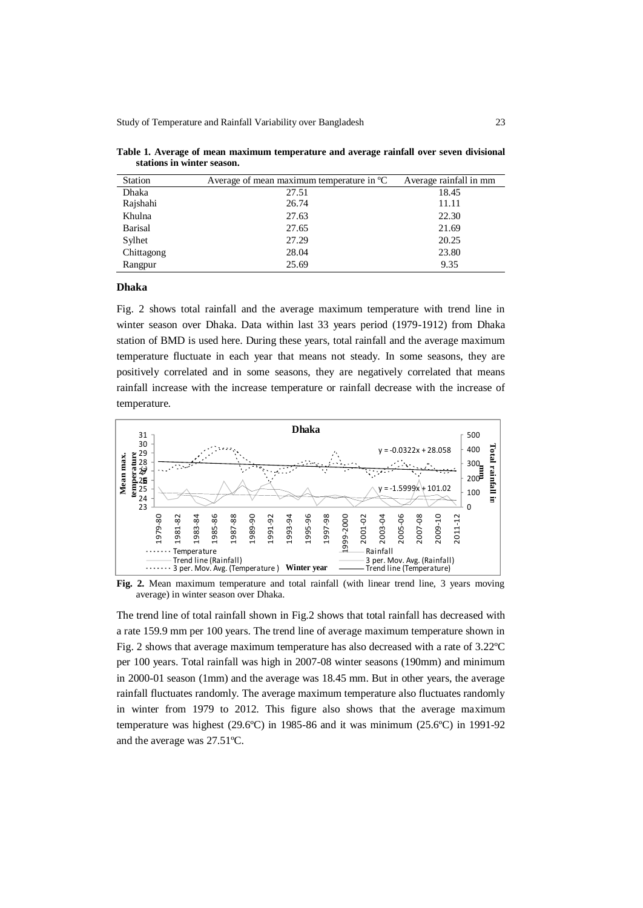Study of Temperature and Rainfall Variability over Bangladesh 23

| <b>Station</b> | Average of mean maximum temperature in $^{\circ}C$ | Average rainfall in mm |
|----------------|----------------------------------------------------|------------------------|
| Dhaka          | 27.51                                              | 18.45                  |
| Rajshahi       | 26.74                                              | 11.11                  |
| Khulna         | 27.63                                              | 22.30                  |
| <b>Barisal</b> | 27.65                                              | 21.69                  |
| Sylhet         | 27.29                                              | 20.25                  |
| Chittagong     | 28.04                                              | 23.80                  |
| Rangpur        | 25.69                                              | 9.35                   |

**Table 1. Average of mean maximum temperature and average rainfall over seven divisional stations in winter season.**

#### **Dhaka**

Fig. 2 shows total rainfall and the average maximum temperature with trend line in winter season over Dhaka. Data within last 33 years period (1979-1912) from Dhaka station of BMD is used here. During these years, total rainfall and the average maximum temperature fluctuate in each year that means not steady. In some seasons, they are positively correlated and in some seasons, they are negatively correlated that means rainfall increase with the increase temperature or rainfall decrease with the increase of temperature.



Fig. 2. Mean maximum temperature and total rainfall (with linear trend line, 3 years moving average) in winter season over Dhaka.

The trend line of total rainfall shown in Fig.2 shows that total rainfall has decreased with a rate 159.9 mm per 100 years. The trend line of average maximum temperature shown in Fig. 2 shows that average maximum temperature has also decreased with a rate of 3.22ºC per 100 years. Total rainfall was high in 2007-08 winter seasons (190mm) and minimum in 2000-01 season (1mm) and the average was 18.45 mm. But in other years, the average rainfall fluctuates randomly. The average maximum temperature also fluctuates randomly in winter from 1979 to 2012. This figure also shows that the average maximum temperature was highest (29.6ºC) in 1985-86 and it was minimum (25.6ºC) in 1991-92 and the average was 27.51ºC.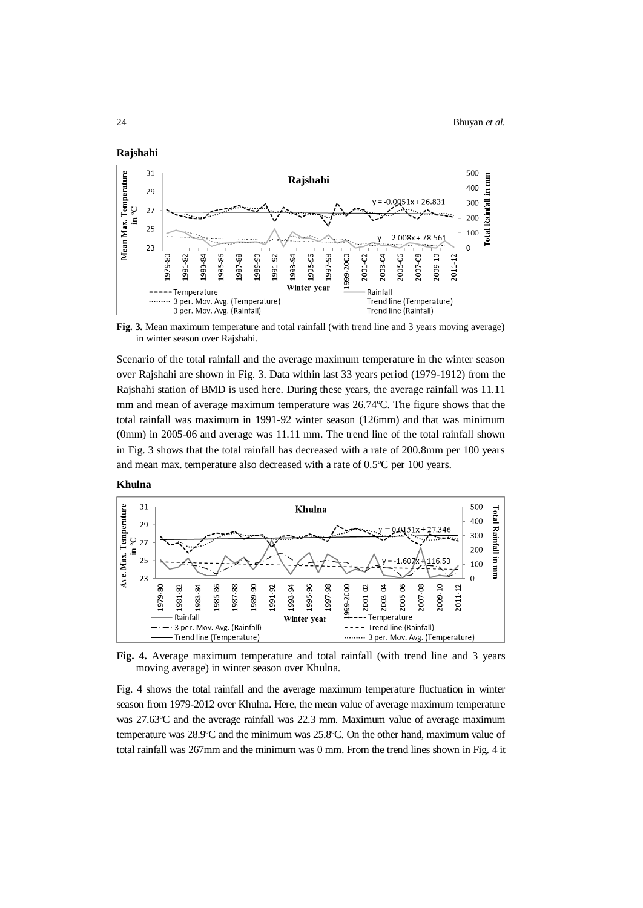



**Fig. 3.** Mean maximum temperature and total rainfall (with trend line and 3 years moving average) in winter season over Rajshahi.

Scenario of the total rainfall and the average maximum temperature in the winter season over Rajshahi are shown in Fig. 3. Data within last 33 years period (1979-1912) from the Rajshahi station of BMD is used here. During these years, the average rainfall was 11.11 mm and mean of average maximum temperature was 26.74ºC. The figure shows that the total rainfall was maximum in 1991-92 winter season (126mm) and that was minimum (0mm) in 2005-06 and average was 11.11 mm. The trend line of the total rainfall shown in Fig. 3 shows that the total rainfall has decreased with a rate of 200.8mm per 100 years and mean max. temperature also decreased with a rate of 0.5ºC per 100 years.





**Fig. 4.** Average maximum temperature and total rainfall (with trend line and 3 years moving average) in winter season over Khulna.

Fig. 4 shows the total rainfall and the average maximum temperature fluctuation in winter season from 1979-2012 over Khulna. Here, the mean value of average maximum temperature was 27.63ºC and the average rainfall was 22.3 mm. Maximum value of average maximum temperature was 28.9ºC and the minimum was 25.8ºC. On the other hand, maximum value of total rainfall was 267mm and the minimum was 0 mm. From the trend lines shown in Fig. 4 it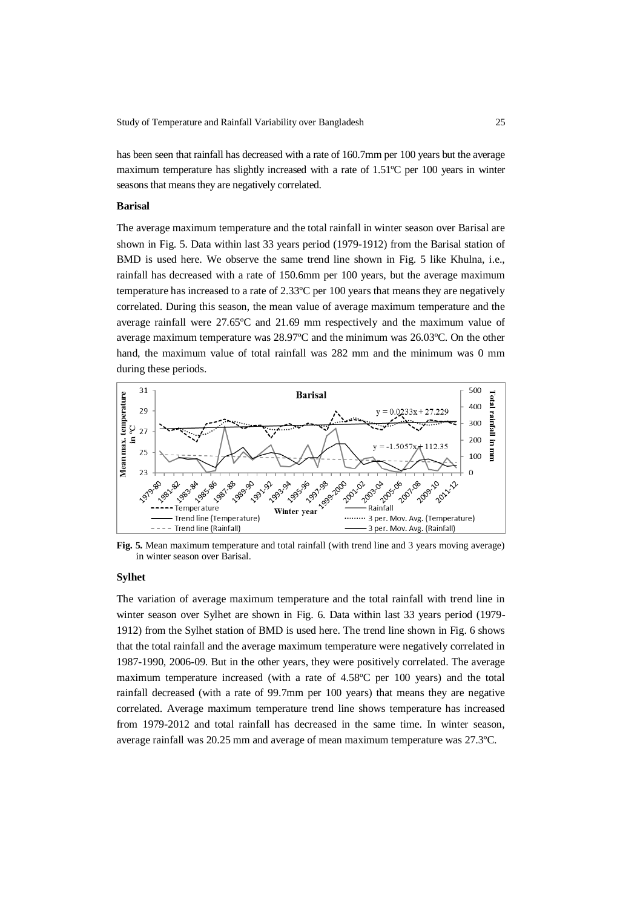has been seen that rainfall has decreased with a rate of 160.7mm per 100 years but the average maximum temperature has slightly increased with a rate of 1.51ºC per 100 years in winter seasons that means they are negatively correlated.

## **Barisal**

The average maximum temperature and the total rainfall in winter season over Barisal are shown in Fig. 5. Data within last 33 years period (1979-1912) from the Barisal station of BMD is used here. We observe the same trend line shown in Fig. 5 like Khulna, i.e., rainfall has decreased with a rate of 150.6mm per 100 years, but the average maximum temperature has increased to a rate of 2.33ºC per 100 years that means they are negatively correlated. During this season, the mean value of average maximum temperature and the average rainfall were 27.65ºC and 21.69 mm respectively and the maximum value of average maximum temperature was 28.97ºC and the minimum was 26.03ºC. On the other hand, the maximum value of total rainfall was 282 mm and the minimum was 0 mm during these periods.



**Fig. 5.** Mean maximum temperature and total rainfall (with trend line and 3 years moving average) in winter season over Barisal.

### **Sylhet**

The variation of average maximum temperature and the total rainfall with trend line in winter season over Sylhet are shown in Fig. 6. Data within last 33 years period (1979- 1912) from the Sylhet station of BMD is used here. The trend line shown in Fig. 6 shows that the total rainfall and the average maximum temperature were negatively correlated in 1987-1990, 2006-09. But in the other years, they were positively correlated. The average maximum temperature increased (with a rate of 4.58ºC per 100 years) and the total rainfall decreased (with a rate of 99.7mm per 100 years) that means they are negative correlated. Average maximum temperature trend line shows temperature has increased from 1979-2012 and total rainfall has decreased in the same time. In winter season, average rainfall was 20.25 mm and average of mean maximum temperature was 27.3ºC.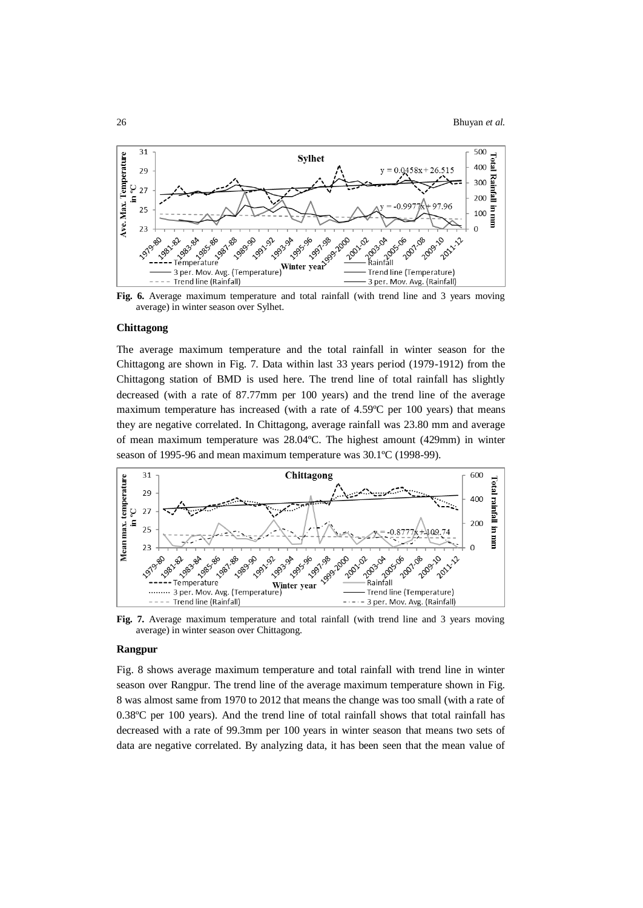

average) in winter season over Sylhet.

#### **Chittagong**

The average maximum temperature and the total rainfall in winter season for the Chittagong are shown in Fig. 7. Data within last 33 years period (1979-1912) from the Chittagong station of BMD is used here. The trend line of total rainfall has slightly decreased (with a rate of 87.77mm per 100 years) and the trend line of the average maximum temperature has increased (with a rate of 4.59ºC per 100 years) that means they are negative correlated. In Chittagong, average rainfall was 23.80 mm and average of mean maximum temperature was 28.04ºC. The highest amount (429mm) in winter season of 1995-96 and mean maximum temperature was 30.1ºC (1998-99).



Fig. 7. Average maximum temperature and total rainfall (with trend line and 3 years moving average) in winter season over Chittagong.

### **Rangpur**

Fig. 8 shows average maximum temperature and total rainfall with trend line in winter season over Rangpur. The trend line of the average maximum temperature shown in Fig. 8 was almost same from 1970 to 2012 that means the change was too small (with a rate of 0.38ºC per 100 years). And the trend line of total rainfall shows that total rainfall has decreased with a rate of 99.3mm per 100 years in winter season that means two sets of data are negative correlated. By analyzing data, it has been seen that the mean value of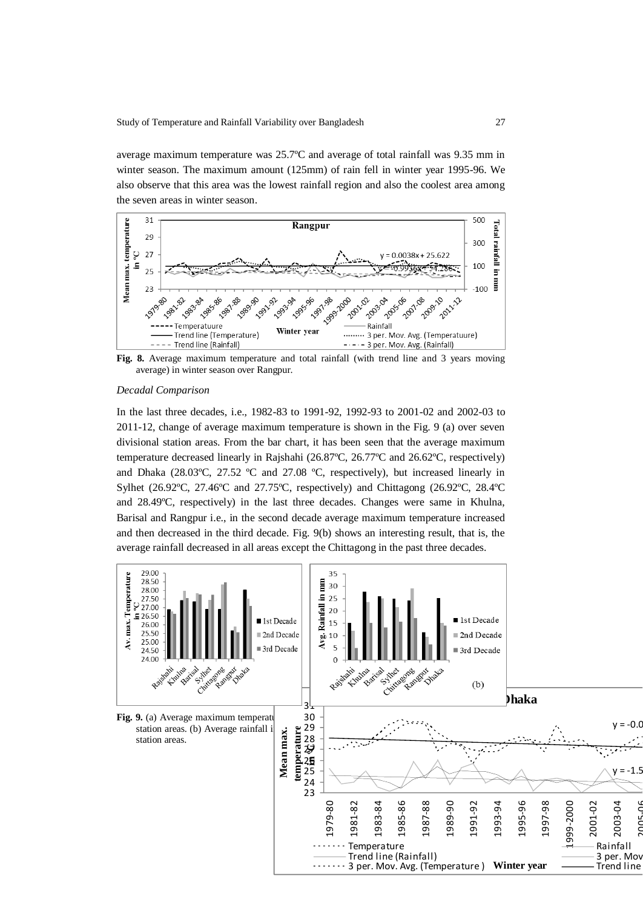average maximum temperature was 25.7ºC and average of total rainfall was 9.35 mm in winter season. The maximum amount (125mm) of rain fell in winter year 1995-96. We also observe that this area was the lowest rainfall region and also the coolest area among the seven areas in winter season.



**Fig. 8.** Average maximum temperature and total rainfall (with trend line and 3 years moving average) in winter season over Rangpur.

### *Decadal Comparison*

In the last three decades, i.e., 1982-83 to 1991-92, 1992-93 to 2001-02 and 2002-03 to 2011-12, change of average maximum temperature is shown in the Fig. 9 (a) over seven divisional station areas. From the bar chart, it has been seen that the average maximum temperature decreased linearly in Rajshahi (26.87ºC, 26.77ºC and 26.62ºC, respectively) and Dhaka (28.03ºC, 27.52 ºC and 27.08 ºC, respectively), but increased linearly in Sylhet (26.92ºC, 27.46ºC and 27.75ºC, respectively) and Chittagong (26.92ºC, 28.4ºC and 28.49ºC, respectively) in the last three decades. Changes were same in Khulna, Barisal and Rangpur i.e., in the second decade average maximum temperature increased and then decreased in the third decade. Fig. 9(b) shows an interesting result, that is, the average rainfall decreased in all areas except the Chittagong in the past three decades.

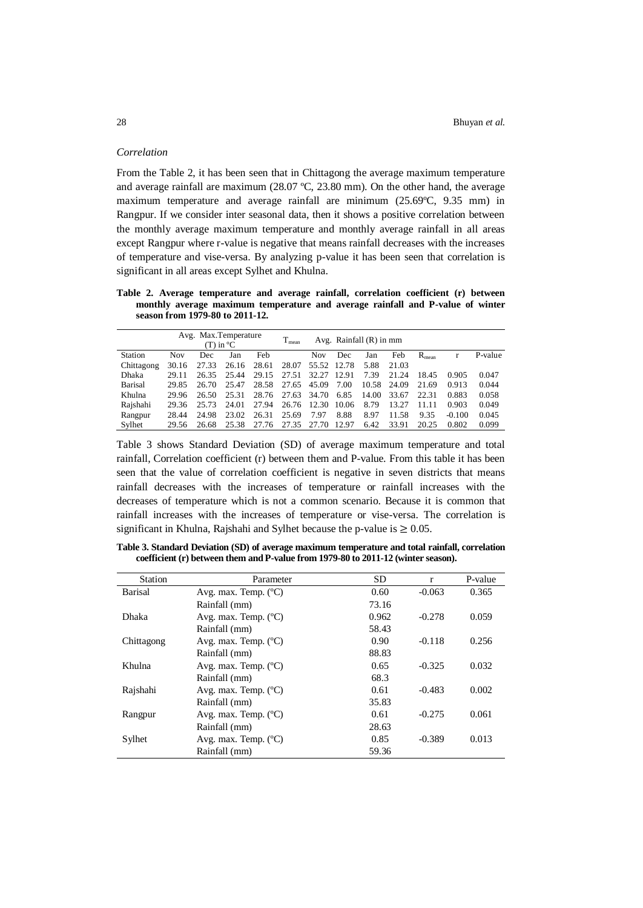### *Correlation*

From the Table 2, it has been seen that in Chittagong the average maximum temperature and average rainfall are maximum (28.07 ºC, 23.80 mm). On the other hand, the average maximum temperature and average rainfall are minimum (25.69ºC, 9.35 mm) in Rangpur. If we consider inter seasonal data, then it shows a positive correlation between the monthly average maximum temperature and monthly average rainfall in all areas except Rangpur where r-value is negative that means rainfall decreases with the increases of temperature and vise-versa. By analyzing p-value it has been seen that correlation is significant in all areas except Sylhet and Khulna.

**Table 2. Average temperature and average rainfall, correlation coefficient (r) between monthly average maximum temperature and average rainfall and P-value of winter season from 1979-80 to 2011-12.**

|            | Avg. Max.Temperature<br>$(T)$ in $^{\circ}C$ |       |       | $T_{mean}$ |             |             | Avg. Rainfall $(R)$ in mm |       |       |            |          |         |
|------------|----------------------------------------------|-------|-------|------------|-------------|-------------|---------------------------|-------|-------|------------|----------|---------|
| Station    | <b>Nov</b>                                   | Dec   | Jan   | Feb        |             | <b>Nov</b>  | Dec                       | Jan   | Feb   | $R_{mean}$ |          | P-value |
| Chittagong | 30.16                                        | 27.33 | 26.16 | 28.61      | 28.07       | 55.52 12.78 |                           | 5.88  | 21.03 |            |          |         |
| Dhaka      | 29.11                                        | 26.35 | 25.44 | 29.15      | 27.51       | 32.27       | 12.91                     | 7.39  | 21.24 | 18.45      | 0.905    | 0.047   |
| Barisal    | 29.85                                        | 26.70 | 25.47 | 28.58      | 27.65       | 45.09       | 7.00                      | 10.58 | 24.09 | 21.69      | 0.913    | 0.044   |
| Khulna     | 29.96                                        | 26.50 | 25.31 |            | 28.76 27.63 | 34.70       | 6.85                      | 14.00 | 33.67 | 22.31      | 0.883    | 0.058   |
| Rajshahi   | 29.36                                        | 25.73 | 24.01 | 27.94      | 26.76       | 12.30       | 10.06                     | 8.79  | 13.27 | 11.11      | 0.903    | 0.049   |
| Rangpur    | 28.44                                        | 24.98 | 23.02 | 26.31      | 25.69       | 7.97        | 8.88                      | 8.97  | 11.58 | 9.35       | $-0.100$ | 0.045   |
| Sylhet     | 29.56                                        | 26.68 | 25.38 | 27.76      | 27.35       | 27.70       | 12.97                     | 6.42  | 33.91 | 20.25      | 0.802    | 0.099   |

Table 3 shows Standard Deviation (SD) of average maximum temperature and total rainfall, Correlation coefficient (r) between them and P-value. From this table it has been seen that the value of correlation coefficient is negative in seven districts that means rainfall decreases with the increases of temperature or rainfall increases with the decreases of temperature which is not a common scenario. Because it is common that rainfall increases with the increases of temperature or vise-versa. The correlation is significant in Khulna, Rajshahi and Sylhet because the p-value is  $\geq 0.05$ .

**Table 3. Standard Deviation (SD) of average maximum temperature and total rainfall, correlation coefficient (r) between them and P-value from 1979-80 to 2011-12 (winter season).**

| <b>Station</b> | Parameter                     | <b>SD</b> | $\mathbf{r}$ | P-value |
|----------------|-------------------------------|-----------|--------------|---------|
| <b>Barisal</b> | Avg. max. Temp. $(^{\circ}C)$ | 0.60      | $-0.063$     | 0.365   |
|                | Rainfall (mm)                 | 73.16     |              |         |
| Dhaka          | Avg. max. Temp. (°C)          | 0.962     | $-0.278$     | 0.059   |
|                | Rainfall (mm)                 | 58.43     |              |         |
| Chittagong     | Avg. max. Temp. $(^{\circ}C)$ | 0.90      | $-0.118$     | 0.256   |
|                | Rainfall (mm)                 | 88.83     |              |         |
| Khulna         | Avg. max. Temp. $(^{\circ}C)$ | 0.65      | $-0.325$     | 0.032   |
|                | Rainfall (mm)                 | 68.3      |              |         |
| Rajshahi       | Avg. max. Temp. $(^{\circ}C)$ | 0.61      | $-0.483$     | 0.002   |
|                | Rainfall (mm)                 | 35.83     |              |         |
| Rangpur        | Avg. max. Temp. (°C)          | 0.61      | $-0.275$     | 0.061   |
|                | Rainfall (mm)                 | 28.63     |              |         |
| Sylhet         | Avg. max. Temp. $(^{\circ}C)$ | 0.85      | $-0.389$     | 0.013   |
|                | Rainfall (mm)                 | 59.36     |              |         |